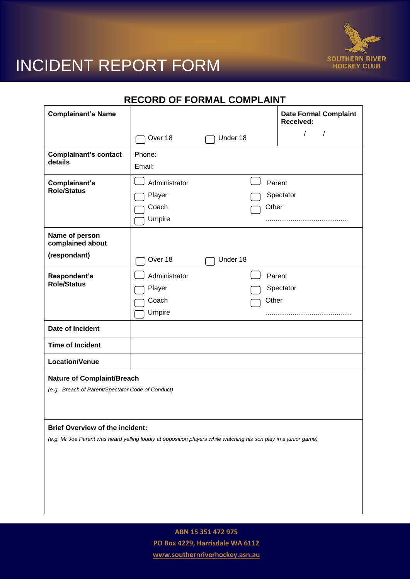

## INCIDENT REPORT FORM

| <b>Complainant's Name</b>                                                                                                                                  |                                            |          | <b>Date Formal Complaint</b><br>Received: |
|------------------------------------------------------------------------------------------------------------------------------------------------------------|--------------------------------------------|----------|-------------------------------------------|
|                                                                                                                                                            | Over 18                                    | Under 18 | $\prime$                                  |
| <b>Complainant's contact</b><br>details                                                                                                                    | Phone:<br>Email:                           |          |                                           |
| Complainant's<br><b>Role/Status</b>                                                                                                                        | Administrator<br>Player<br>Coach<br>Umpire |          | Parent<br>Spectator<br>Other              |
| Name of person<br>complained about<br>(respondant)                                                                                                         | Over 18                                    | Under 18 |                                           |
| Respondent's<br><b>Role/Status</b>                                                                                                                         | Administrator<br>Player<br>Coach<br>Umpire |          | Parent<br>Spectator<br>Other              |
| Date of Incident                                                                                                                                           |                                            |          |                                           |
| <b>Time of Incident</b>                                                                                                                                    |                                            |          |                                           |
| <b>Location/Venue</b>                                                                                                                                      |                                            |          |                                           |
| <b>Nature of Complaint/Breach</b><br>(e.g. Breach of Parent/Spectator Code of Conduct)                                                                     |                                            |          |                                           |
| <b>Brief Overview of the incident:</b><br>(e.g. Mr Joe Parent was heard yelling loudly at opposition players while watching his son play in a junior game) |                                            |          |                                           |

**ABN 15 351 472 975 PO Box 4229, Harrisdale WA 6112 www.southernriverhockey.asn.au**